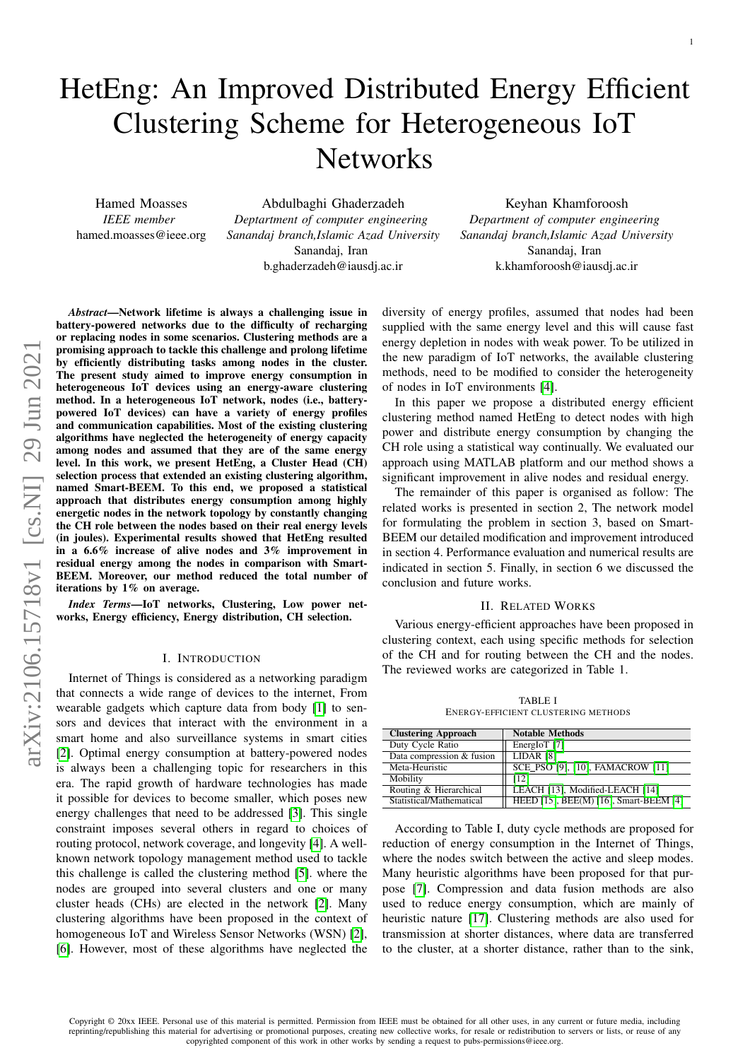# HetEng: An Improved Distributed Energy Efficient Clustering Scheme for Heterogeneous IoT **Networks**

Hamed Moasses *IEEE member* hamed.moasses@ieee.org

Abdulbaghi Ghaderzadeh *Deptartment of computer engineering Sanandaj branch,Islamic Azad University* Sanandaj, Iran b.ghaderzadeh@iausdj.ac.ir

Keyhan Khamforoosh *Department of computer engineering Sanandaj branch,Islamic Azad University* Sanandaj, Iran k.khamforoosh@iausdj.ac.ir

*Abstract*—Network lifetime is always a challenging issue in battery-powered networks due to the difficulty of recharging or replacing nodes in some scenarios. Clustering methods are a promising approach to tackle this challenge and prolong lifetime by efficiently distributing tasks among nodes in the cluster. The present study aimed to improve energy consumption in heterogeneous IoT devices using an energy-aware clustering method. In a heterogeneous IoT network, nodes (i.e., batterypowered IoT devices) can have a variety of energy profiles and communication capabilities. Most of the existing clustering algorithms have neglected the heterogeneity of energy capacity among nodes and assumed that they are of the same energy level. In this work, we present HetEng, a Cluster Head (CH) selection process that extended an existing clustering algorithm, named Smart-BEEM. To this end, we proposed a statistical approach that distributes energy consumption among highly energetic nodes in the network topology by constantly changing the CH role between the nodes based on their real energy levels (in joules). Experimental results showed that HetEng resulted in a 6.6% increase of alive nodes and 3% improvement in residual energy among the nodes in comparison with Smart-BEEM. Moreover, our method reduced the total number of iterations by 1% on average.

*Index Terms*—IoT networks, Clustering, Low power networks, Energy efficiency, Energy distribution, CH selection.

#### I. INTRODUCTION

Internet of Things is considered as a networking paradigm that connects a wide range of devices to the internet, From wearable gadgets which capture data from body [\[1\]](#page-4-0) to sensors and devices that interact with the environment in a smart home and also surveillance systems in smart cities [\[2\]](#page-4-1). Optimal energy consumption at battery-powered nodes is always been a challenging topic for researchers in this era. The rapid growth of hardware technologies has made it possible for devices to become smaller, which poses new energy challenges that need to be addressed [\[3\]](#page-4-2). This single constraint imposes several others in regard to choices of routing protocol, network coverage, and longevity [\[4\]](#page-4-3). A wellknown network topology management method used to tackle this challenge is called the clustering method [\[5\]](#page-4-4). where the nodes are grouped into several clusters and one or many cluster heads (CHs) are elected in the network [\[2\]](#page-4-1). Many clustering algorithms have been proposed in the context of homogeneous IoT and Wireless Sensor Networks (WSN) [\[2\]](#page-4-1), [\[6\]](#page-4-5). However, most of these algorithms have neglected the

diversity of energy profiles, assumed that nodes had been supplied with the same energy level and this will cause fast energy depletion in nodes with weak power. To be utilized in the new paradigm of IoT networks, the available clustering methods, need to be modified to consider the heterogeneity of nodes in IoT environments [\[4\]](#page-4-3).

In this paper we propose a distributed energy efficient clustering method named HetEng to detect nodes with high power and distribute energy consumption by changing the CH role using a statistical way continually. We evaluated our approach using MATLAB platform and our method shows a significant improvement in alive nodes and residual energy.

The remainder of this paper is organised as follow: The related works is presented in section 2, The network model for formulating the problem in section 3, based on Smart-BEEM our detailed modification and improvement introduced in section 4. Performance evaluation and numerical results are indicated in section 5. Finally, in section 6 we discussed the conclusion and future works.

#### II. RELATED WORKS

Various energy-efficient approaches have been proposed in clustering context, each using specific methods for selection of the CH and for routing between the CH and the nodes. The reviewed works are categorized in Table 1.

TABLE I ENERGY-EFFICIENT CLUSTERING METHODS

| <b>Clustering Approach</b> | <b>Notable Methods</b>                 |
|----------------------------|----------------------------------------|
| Duty Cycle Ratio           | EnergIoT [7]                           |
| Data compression & fusion  | LIDAR [8]                              |
| Meta-Heuristic             | SCE PSO [9], [10], FAMACROW [11]       |
| Mobility                   | [12]                                   |
| Routing & Hierarchical     | LEACH [13], Modified-LEACH [14]        |
| Statistical/Mathematical   | HEED [15], BEE(M) [16], Smart-BEEM [4] |

According to Table I, duty cycle methods are proposed for reduction of energy consumption in the Internet of Things, where the nodes switch between the active and sleep modes. Many heuristic algorithms have been proposed for that purpose [\[7\]](#page-4-6). Compression and data fusion methods are also used to reduce energy consumption, which are mainly of heuristic nature [\[17\]](#page-5-2). Clustering methods are also used for transmission at shorter distances, where data are transferred to the cluster, at a shorter distance, rather than to the sink,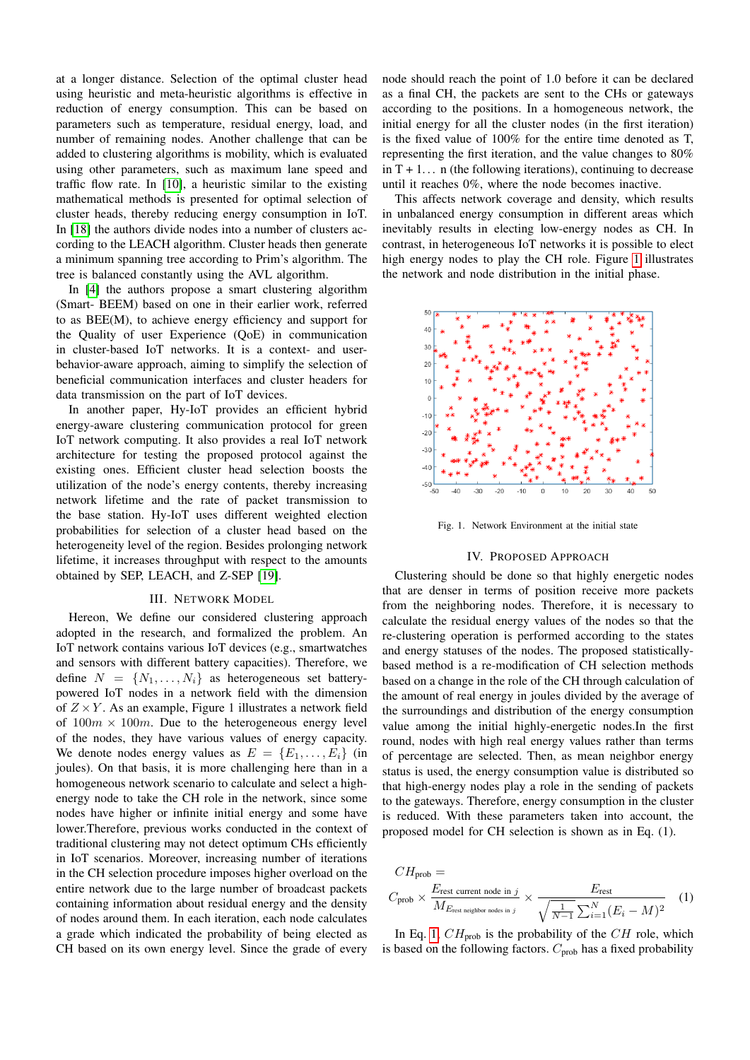at a longer distance. Selection of the optimal cluster head using heuristic and meta-heuristic algorithms is effective in reduction of energy consumption. This can be based on parameters such as temperature, residual energy, load, and number of remaining nodes. Another challenge that can be added to clustering algorithms is mobility, which is evaluated using other parameters, such as maximum lane speed and traffic flow rate. In [\[10\]](#page-4-9), a heuristic similar to the existing mathematical methods is presented for optimal selection of cluster heads, thereby reducing energy consumption in IoT. In [\[18\]](#page-5-3) the authors divide nodes into a number of clusters according to the LEACH algorithm. Cluster heads then generate a minimum spanning tree according to Prim's algorithm. The tree is balanced constantly using the AVL algorithm.

In [\[4\]](#page-4-3) the authors propose a smart clustering algorithm (Smart- BEEM) based on one in their earlier work, referred to as BEE(M), to achieve energy efficiency and support for the Quality of user Experience (QoE) in communication in cluster-based IoT networks. It is a context- and userbehavior-aware approach, aiming to simplify the selection of beneficial communication interfaces and cluster headers for data transmission on the part of IoT devices.

In another paper, Hy-IoT provides an efficient hybrid energy-aware clustering communication protocol for green IoT network computing. It also provides a real IoT network architecture for testing the proposed protocol against the existing ones. Efficient cluster head selection boosts the utilization of the node's energy contents, thereby increasing network lifetime and the rate of packet transmission to the base station. Hy-IoT uses different weighted election probabilities for selection of a cluster head based on the heterogeneity level of the region. Besides prolonging network lifetime, it increases throughput with respect to the amounts obtained by SEP, LEACH, and Z-SEP [\[19\]](#page-5-4).

## III. NETWORK MODEL

Hereon, We define our considered clustering approach adopted in the research, and formalized the problem. An IoT network contains various IoT devices (e.g., smartwatches and sensors with different battery capacities). Therefore, we define  $N = \{N_1, \ldots, N_i\}$  as heterogeneous set batterypowered IoT nodes in a network field with the dimension of  $Z \times Y$ . As an example, Figure 1 illustrates a network field of  $100m \times 100m$ . Due to the heterogeneous energy level of the nodes, they have various values of energy capacity. We denote nodes energy values as  $E = \{E_1, \ldots, E_i\}$  (in joules). On that basis, it is more challenging here than in a homogeneous network scenario to calculate and select a highenergy node to take the CH role in the network, since some nodes have higher or infinite initial energy and some have lower.Therefore, previous works conducted in the context of traditional clustering may not detect optimum CHs efficiently in IoT scenarios. Moreover, increasing number of iterations in the CH selection procedure imposes higher overload on the entire network due to the large number of broadcast packets containing information about residual energy and the density of nodes around them. In each iteration, each node calculates a grade which indicated the probability of being elected as CH based on its own energy level. Since the grade of every node should reach the point of 1.0 before it can be declared as a final CH, the packets are sent to the CHs or gateways according to the positions. In a homogeneous network, the initial energy for all the cluster nodes (in the first iteration) is the fixed value of 100% for the entire time denoted as T, representing the first iteration, and the value changes to 80% in  $T + 1$ ... n (the following iterations), continuing to decrease until it reaches 0%, where the node becomes inactive.

This affects network coverage and density, which results in unbalanced energy consumption in different areas which inevitably results in electing low-energy nodes as CH. In contrast, in heterogeneous IoT networks it is possible to elect high energy nodes to play the CH role. Figure [1](#page-1-0) illustrates the network and node distribution in the initial phase.



<span id="page-1-0"></span>Fig. 1. Network Environment at the initial state

## IV. PROPOSED APPROACH

Clustering should be done so that highly energetic nodes that are denser in terms of position receive more packets from the neighboring nodes. Therefore, it is necessary to calculate the residual energy values of the nodes so that the re-clustering operation is performed according to the states and energy statuses of the nodes. The proposed statisticallybased method is a re-modification of CH selection methods based on a change in the role of the CH through calculation of the amount of real energy in joules divided by the average of the surroundings and distribution of the energy consumption value among the initial highly-energetic nodes.In the first round, nodes with high real energy values rather than terms of percentage are selected. Then, as mean neighbor energy status is used, the energy consumption value is distributed so that high-energy nodes play a role in the sending of packets to the gateways. Therefore, energy consumption in the cluster is reduced. With these parameters taken into account, the proposed model for CH selection is shown as in Eq. (1).

<span id="page-1-1"></span>
$$
CH_{\text{prob}} =
$$
\n
$$
C_{\text{prob}} \times \frac{E_{\text{rest current node in } j}}{M_{E_{\text{rest neighbor nodes in } j}}} \times \frac{E_{\text{rest}}}{\sqrt{\frac{1}{N-1} \sum_{i=1}^{N} (E_i - M)^2}}
$$
\n(1)

In Eq. [1,](#page-1-1)  $CH_{\text{prob}}$  is the probability of the CH role, which is based on the following factors.  $C_{\text{prob}}$  has a fixed probability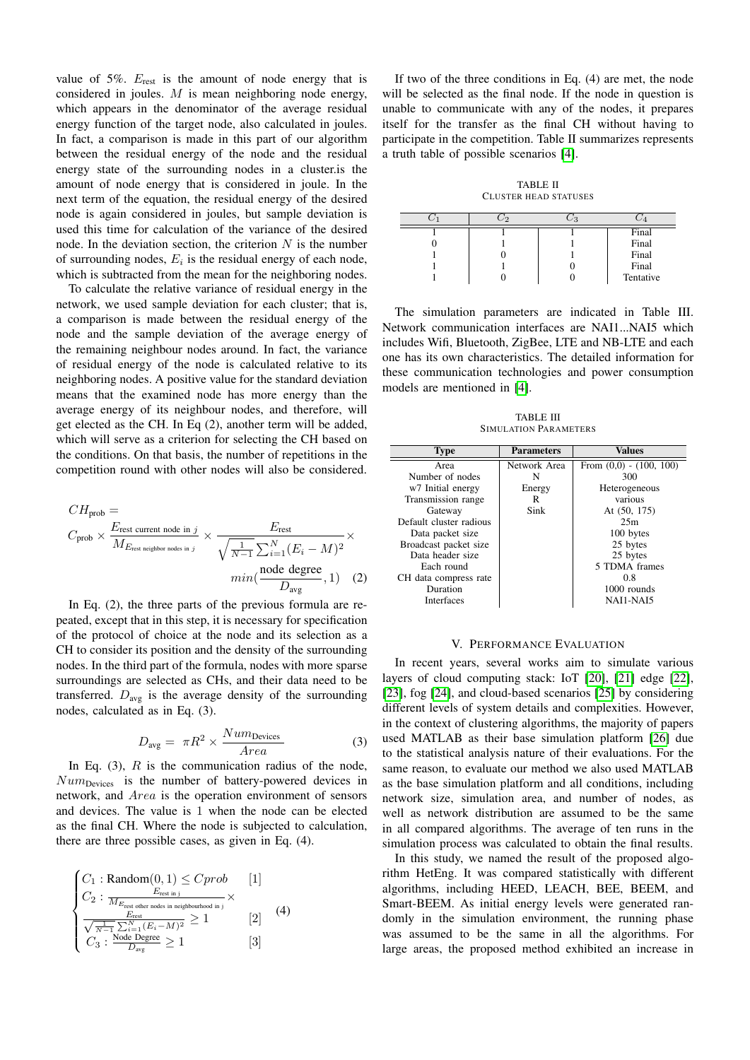value of 5%.  $E_{\text{rest}}$  is the amount of node energy that is considered in joules. M is mean neighboring node energy, which appears in the denominator of the average residual energy function of the target node, also calculated in joules. In fact, a comparison is made in this part of our algorithm between the residual energy of the node and the residual energy state of the surrounding nodes in a cluster.is the amount of node energy that is considered in joule. In the next term of the equation, the residual energy of the desired node is again considered in joules, but sample deviation is used this time for calculation of the variance of the desired node. In the deviation section, the criterion  $N$  is the number of surrounding nodes,  $E_i$  is the residual energy of each node, which is subtracted from the mean for the neighboring nodes.

To calculate the relative variance of residual energy in the network, we used sample deviation for each cluster; that is, a comparison is made between the residual energy of the node and the sample deviation of the average energy of the remaining neighbour nodes around. In fact, the variance of residual energy of the node is calculated relative to its neighboring nodes. A positive value for the standard deviation means that the examined node has more energy than the average energy of its neighbour nodes, and therefore, will get elected as the CH. In Eq (2), another term will be added, which will serve as a criterion for selecting the CH based on the conditions. On that basis, the number of repetitions in the competition round with other nodes will also be considered.

$$
CH_{\text{prob}} =
$$
\n
$$
C_{\text{prob}} \times \frac{E_{\text{rest current node in } j}}{M_{E_{\text{rest neighbor nodes in } j}}} \times \frac{E_{\text{rest}}}{\sqrt{\frac{1}{N-1} \sum_{i=1}^{N} (E_i - M)^2}} \times \frac{F_{\text{rest}}}{\frac{1}{N}} \times \frac{F_{\text{rest}}}{\frac{1}{N}} \times \frac{F_{\text{rest}}}{\frac{1}{N}} \times \frac{F_{\text{rest}}}{\frac{1}{N}} \times \frac{F_{\text{rest}}}{\frac{1}{N}} \times \frac{F_{\text{rest}}}{\frac{1}{N}} \times \frac{F_{\text{rest}}}{\frac{1}{N}} \times \frac{F_{\text{rest}}}{\frac{1}{N}} \times \frac{F_{\text{rest}}}{\frac{1}{N}} \times \frac{F_{\text{rest}}}{\frac{1}{N}} \times \frac{F_{\text{rest}}}{\frac{1}{N}} \times \frac{F_{\text{rest}}}{\frac{1}{N}} \times \frac{F_{\text{rest}}}{\frac{1}{N}} \times \frac{F_{\text{rest}}}{\frac{1}{N}} \times \frac{F_{\text{rest}}}{\frac{1}{N}} \times \frac{F_{\text{rest}}}{\frac{1}{N}} \times \frac{F_{\text{rest}}}{\frac{1}{N}} \times \frac{F_{\text{rest}}}{\frac{1}{N}} \times \frac{F_{\text{rest}}}{\frac{1}{N}} \times \frac{F_{\text{rest}}}{\frac{1}{N}} \times \frac{F_{\text{rest}}}{\frac{1}{N}} \times \frac{F_{\text{rest}}}{\frac{1}{N}} \times \frac{F_{\text{rest}}}{\frac{1}{N}} \times \frac{F_{\text{rest}}}{\frac{1}{N}} \times \frac{F_{\text{rest}}}{\frac{1}{N}} \times \frac{F_{\text{rest}}}{\frac{1}{N}} \times \frac{F_{\text{rest}}}{\frac{1}{N}} \times \frac{F_{\text{rest}}}{\frac{1}{N}} \times \frac{F_{\text{rest}}}{\frac{1}{N}} \times \frac{F_{\text{rest}}}{\frac{1}{N}} \times \frac{F_{\text{rest}}}{\frac{1}{N}} \times \frac{F_{\text{rest}}}{\frac{1}{N}} \times \frac{F_{\text{rest}}}{\frac{1}{N}}
$$

In Eq. (2), the three parts of the previous formula are repeated, except that in this step, it is necessary for specification of the protocol of choice at the node and its selection as a CH to consider its position and the density of the surrounding nodes. In the third part of the formula, nodes with more sparse surroundings are selected as CHs, and their data need to be transferred.  $D_{\text{avg}}$  is the average density of the surrounding nodes, calculated as in Eq. (3).

$$
D_{\text{avg}} = \pi R^2 \times \frac{Num_{\text{Devices}}}{Area}
$$
 (3)

In Eq.  $(3)$ , R is the communication radius of the node,  $Num_{\text{Divies}}$  is the number of battery-powered devices in network, and Area is the operation environment of sensors and devices. The value is 1 when the node can be elected as the final CH. Where the node is subjected to calculation, there are three possible cases, as given in Eq. (4).

$$
\begin{cases}\nC_1: \text{Random}(0, 1) \leq Cprob \qquad [1] \\
C_2: \frac{E_{\text{rest in j}}}{M_{E_{\text{rest other nodes in neighborhood in j}}} \times \\
\frac{E_{\text{rest}}}{\sqrt{\frac{1}{N-1} \sum_{i=1}^{N} (E_i - M)^2}} \geq 1 \qquad [2] \\
C_3: \frac{\text{Node Degree}}{D_{\text{avg}}} \geq 1 \qquad [3]\n\end{cases}
$$

If two of the three conditions in Eq. (4) are met, the node will be selected as the final node. If the node in question is unable to communicate with any of the nodes, it prepares itself for the transfer as the final CH without having to participate in the competition. Table II summarizes represents a truth table of possible scenarios [\[4\]](#page-4-3).

TABLE II CLUSTER HEAD STATUSES

|  | Final     |
|--|-----------|
|  | Final     |
|  | Final     |
|  | Final     |
|  | Tentative |

The simulation parameters are indicated in Table III. Network communication interfaces are NAI1...NAI5 which includes Wifi, Bluetooth, ZigBee, LTE and NB-LTE and each one has its own characteristics. The detailed information for these communication technologies and power consumption models are mentioned in [\[4\]](#page-4-3).

TABLE III SIMULATION PARAMETERS

| <b>Type</b>             | <b>Parameters</b> | Values                      |
|-------------------------|-------------------|-----------------------------|
| Area                    | Network Area      | From $(0,0)$ - $(100, 100)$ |
| Number of nodes         | N                 | 300                         |
| w7 Initial energy       | Energy            | Heterogeneous               |
| Transmission range      | R                 | various                     |
| Gateway                 | Sink              | At $(50, 175)$              |
| Default cluster radious |                   | 25m                         |
| Data packet size        |                   | 100 bytes                   |
| Broadcast packet size   |                   | 25 bytes                    |
| Data header size        |                   | 25 bytes                    |
| Each round              |                   | 5 TDMA frames               |
| CH data compress rate   |                   | 0.8                         |
| Duration                |                   | 1000 rounds                 |
| <b>Interfaces</b>       |                   | NAI1-NAI5                   |

#### V. PERFORMANCE EVALUATION

In recent years, several works aim to simulate various layers of cloud computing stack: IoT [\[20\]](#page-5-5), [\[21\]](#page-5-6) edge [\[22\]](#page-5-7), [\[23\]](#page-5-8), fog [\[24\]](#page-5-9), and cloud-based scenarios [\[25\]](#page-5-10) by considering different levels of system details and complexities. However, in the context of clustering algorithms, the majority of papers used MATLAB as their base simulation platform [\[26\]](#page-5-11) due to the statistical analysis nature of their evaluations. For the same reason, to evaluate our method we also used MATLAB as the base simulation platform and all conditions, including network size, simulation area, and number of nodes, as well as network distribution are assumed to be the same in all compared algorithms. The average of ten runs in the simulation process was calculated to obtain the final results.

In this study, we named the result of the proposed algorithm HetEng. It was compared statistically with different algorithms, including HEED, LEACH, BEE, BEEM, and Smart-BEEM. As initial energy levels were generated randomly in the simulation environment, the running phase was assumed to be the same in all the algorithms. For large areas, the proposed method exhibited an increase in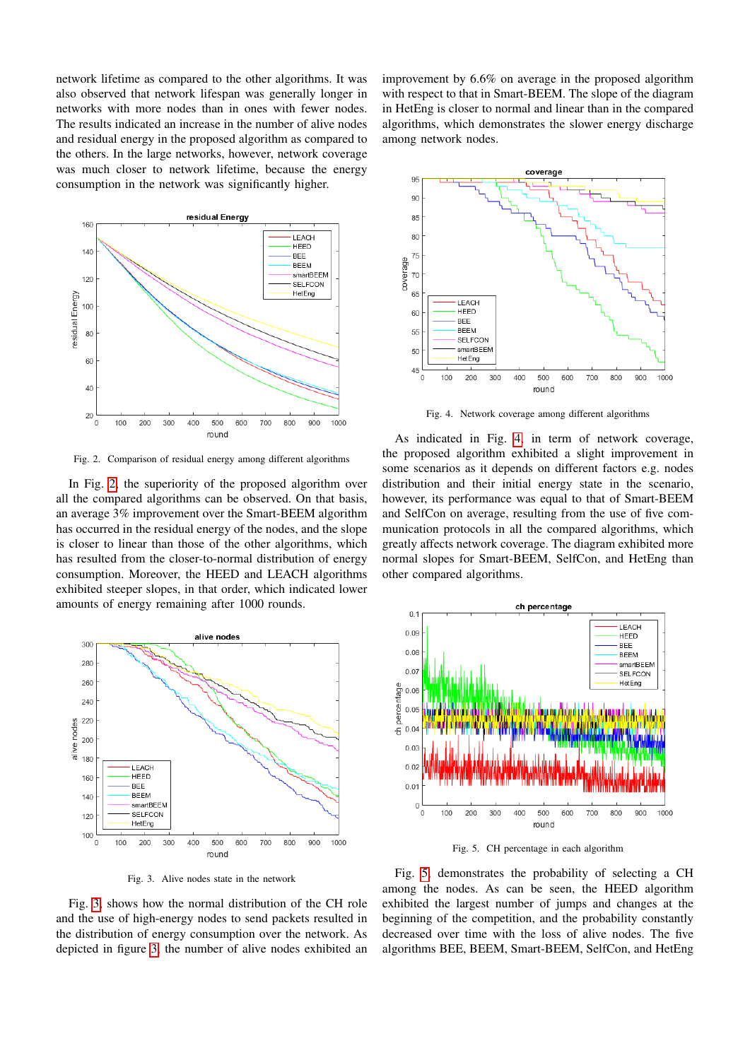network lifetime as compared to the other algorithms. It was also observed that network lifespan was generally longer in networks with more nodes than in ones with fewer nodes. The results indicated an increase in the number of alive nodes and residual energy in the proposed algorithm as compared to the others. In the large networks, however, network coverage was much closer to network lifetime, because the energy consumption in the network was significantly higher.



<span id="page-3-0"></span>Fig. 2. Comparison of residual energy among different algorithms

In Fig. [2,](#page-3-0) the superiority of the proposed algorithm over all the compared algorithms can be observed. On that basis, an average 3% improvement over the Smart-BEEM algorithm has occurred in the residual energy of the nodes, and the slope is closer to linear than those of the other algorithms, which has resulted from the closer-to-normal distribution of energy consumption. Moreover, the HEED and LEACH algorithms exhibited steeper slopes, in that order, which indicated lower amounts of energy remaining after 1000 rounds.



<span id="page-3-1"></span>Fig. 3. Alive nodes state in the network

improvement by 6.6% on average in the proposed algorithm with respect to that in Smart-BEEM. The slope of the diagram in HetEng is closer to normal and linear than in the compared algorithms, which demonstrates the slower energy discharge among network nodes.



<span id="page-3-2"></span>Fig. 4. Network coverage among different algorithms

As indicated in Fig. [4,](#page-3-2) in term of network coverage, the proposed algorithm exhibited a slight improvement in some scenarios as it depends on different factors e.g. nodes distribution and their initial energy state in the scenario, however, its performance was equal to that of Smart-BEEM and SelfCon on average, resulting from the use of five communication protocols in all the compared algorithms, which greatly affects network coverage. The diagram exhibited more normal slopes for Smart-BEEM, SelfCon, and HetEng than other compared algorithms.



<span id="page-3-3"></span>Fig. 5. CH percentage in each algorithm

Fig. [3,](#page-3-1) shows how the normal distribution of the CH role and the use of high-energy nodes to send packets resulted in the distribution of energy consumption over the network. As depicted in figure [3,](#page-3-1) the number of alive nodes exhibited an

Fig. [5,](#page-3-3) demonstrates the probability of selecting a CH among the nodes. As can be seen, the HEED algorithm exhibited the largest number of jumps and changes at the beginning of the competition, and the probability constantly decreased over time with the loss of alive nodes. The five algorithms BEE, BEEM, Smart-BEEM, SelfCon, and HetEng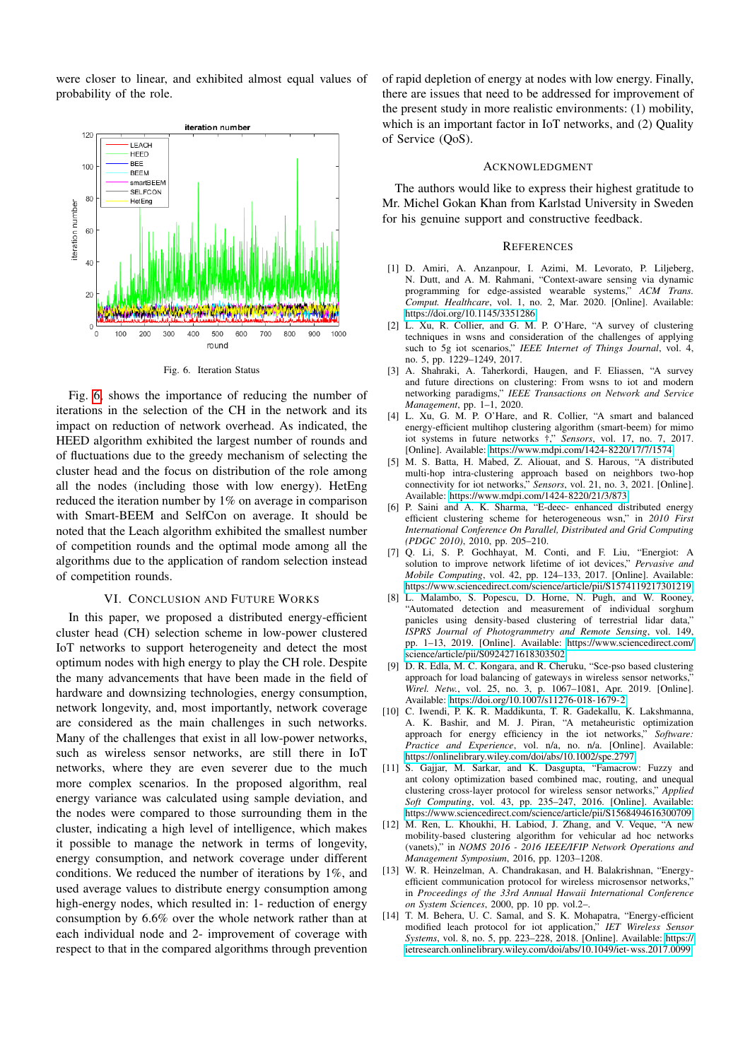were closer to linear, and exhibited almost equal values of probability of the role.



<span id="page-4-14"></span>Fig. 6. Iteration Status

Fig. [6,](#page-4-14) shows the importance of reducing the number of iterations in the selection of the CH in the network and its impact on reduction of network overhead. As indicated, the HEED algorithm exhibited the largest number of rounds and of fluctuations due to the greedy mechanism of selecting the cluster head and the focus on distribution of the role among all the nodes (including those with low energy). HetEng reduced the iteration number by 1% on average in comparison with Smart-BEEM and SelfCon on average. It should be noted that the Leach algorithm exhibited the smallest number of competition rounds and the optimal mode among all the algorithms due to the application of random selection instead of competition rounds.

# VI. CONCLUSION AND FUTURE WORKS

In this paper, we proposed a distributed energy-efficient cluster head (CH) selection scheme in low-power clustered IoT networks to support heterogeneity and detect the most optimum nodes with high energy to play the CH role. Despite the many advancements that have been made in the field of hardware and downsizing technologies, energy consumption, network longevity, and, most importantly, network coverage are considered as the main challenges in such networks. Many of the challenges that exist in all low-power networks, such as wireless sensor networks, are still there in IoT networks, where they are even severer due to the much more complex scenarios. In the proposed algorithm, real energy variance was calculated using sample deviation, and the nodes were compared to those surrounding them in the cluster, indicating a high level of intelligence, which makes it possible to manage the network in terms of longevity, energy consumption, and network coverage under different conditions. We reduced the number of iterations by 1%, and used average values to distribute energy consumption among high-energy nodes, which resulted in: 1- reduction of energy consumption by 6.6% over the whole network rather than at each individual node and 2- improvement of coverage with respect to that in the compared algorithms through prevention

of rapid depletion of energy at nodes with low energy. Finally, there are issues that need to be addressed for improvement of the present study in more realistic environments: (1) mobility, which is an important factor in IoT networks, and (2) Quality of Service (QoS).

### ACKNOWLEDGMENT

The authors would like to express their highest gratitude to Mr. Michel Gokan Khan from Karlstad University in Sweden for his genuine support and constructive feedback.

#### **REFERENCES**

- <span id="page-4-0"></span>[1] D. Amiri, A. Anzanpour, I. Azimi, M. Levorato, P. Liljeberg, N. Dutt, and A. M. Rahmani, "Context-aware sensing via dynamic programming for edge-assisted wearable systems," *ACM Trans. Comput. Healthcare*, vol. 1, no. 2, Mar. 2020. [Online]. Available: <https://doi.org/10.1145/3351286>
- <span id="page-4-1"></span>[2] L. Xu, R. Collier, and G. M. P. O'Hare, "A survey of clustering techniques in wsns and consideration of the challenges of applying such to 5g iot scenarios," *IEEE Internet of Things Journal*, vol. 4, no. 5, pp. 1229–1249, 2017.
- <span id="page-4-2"></span>[3] A. Shahraki, A. Taherkordi, Haugen, and F. Eliassen, "A survey and future directions on clustering: From wsns to iot and modern networking paradigms," *IEEE Transactions on Network and Service Management*, pp. 1–1, 2020.
- <span id="page-4-3"></span>[4] L. Xu, G. M. P. O'Hare, and R. Collier, "A smart and balanced energy-efficient multihop clustering algorithm (smart-beem) for mimo iot systems in future networks  $\pm$ ." *Sensors*, vol. 17, no. 7, 2017. [Online]. Available:<https://www.mdpi.com/1424-8220/17/7/1574>
- <span id="page-4-4"></span>[5] M. S. Batta, H. Mabed, Z. Aliouat, and S. Harous, "A distributed multi-hop intra-clustering approach based on neighbors two-hop connectivity for iot networks," *Sensors*, vol. 21, no. 3, 2021. [Online]. Available:<https://www.mdpi.com/1424-8220/21/3/873>
- <span id="page-4-5"></span>[6] P. Saini and A. K. Sharma, "E-deec- enhanced distributed energy efficient clustering scheme for heterogeneous wsn," in *2010 First International Conference On Parallel, Distributed and Grid Computing (PDGC 2010)*, 2010, pp. 205–210.
- <span id="page-4-6"></span>[7] Q. Li, S. P. Gochhayat, M. Conti, and F. Liu, "Energiot: A solution to improve network lifetime of iot devices," *Pervasive and Mobile Computing*, vol. 42, pp. 124–133, 2017. [Online]. Available: <https://www.sciencedirect.com/science/article/pii/S1574119217301219>
- <span id="page-4-7"></span>[8] L. Malambo, S. Popescu, D. Horne, N. Pugh, and W. Rooney, "Automated detection and measurement of individual sorghum panicles using density-based clustering of terrestrial lidar data,' *ISPRS Journal of Photogrammetry and Remote Sensing*, vol. 149, pp. 1–13, 2019. [Online]. Available: [https://www.sciencedirect.com/](https://www.sciencedirect.com/science/article/pii/S0924271618303502) [science/article/pii/S0924271618303502](https://www.sciencedirect.com/science/article/pii/S0924271618303502)
- <span id="page-4-8"></span>[9] D. R. Edla, M. C. Kongara, and R. Cheruku, "Sce-pso based clustering approach for load balancing of gateways in wireless sensor networks, *Wirel. Netw.*, vol. 25, no. 3, p. 1067–1081, Apr. 2019. [Online]. Available:<https://doi.org/10.1007/s11276-018-1679-2>
- <span id="page-4-9"></span>[10] C. Iwendi, P. K. R. Maddikunta, T. R. Gadekallu, K. Lakshmanna, A. K. Bashir, and M. J. Piran, "A metaheuristic optimization approach for energy efficiency in the iot networks," *Software: Practice and Experience*, vol. n/a, no. n/a. [Online]. Available: <https://onlinelibrary.wiley.com/doi/abs/10.1002/spe.2797>
- <span id="page-4-10"></span>[11] S. Gajjar, M. Sarkar, and K. Dasgupta, "Famacrow: Fuzzy and ant colony optimization based combined mac, routing, and unequal clustering cross-layer protocol for wireless sensor networks," *Applied Soft Computing*, vol. 43, pp. 235–247, 2016. [Online]. Available: <https://www.sciencedirect.com/science/article/pii/S1568494616300709>
- <span id="page-4-11"></span>[12] M. Ren, L. Khoukhi, H. Labiod, J. Zhang, and V. Veque, "A new mobility-based clustering algorithm for vehicular ad hoc networks (vanets)," in *NOMS 2016 - 2016 IEEE/IFIP Network Operations and Management Symposium*, 2016, pp. 1203–1208.
- <span id="page-4-12"></span>[13] W. R. Heinzelman, A. Chandrakasan, and H. Balakrishnan, "Energyefficient communication protocol for wireless microsensor networks, in *Proceedings of the 33rd Annual Hawaii International Conference on System Sciences*, 2000, pp. 10 pp. vol.2–
- <span id="page-4-13"></span>[14] T. M. Behera, U. C. Samal, and S. K. Mohapatra, "Energy-efficient modified leach protocol for iot application," *IET Wireless Sensor Systems*, vol. 8, no. 5, pp. 223–228, 2018. [Online]. Available: [https://](https://ietresearch.onlinelibrary.wiley.com/doi/abs/10.1049/iet-wss.2017.0099) [ietresearch.onlinelibrary.wiley.com/doi/abs/10.1049/iet-wss.2017.0099](https://ietresearch.onlinelibrary.wiley.com/doi/abs/10.1049/iet-wss.2017.0099)